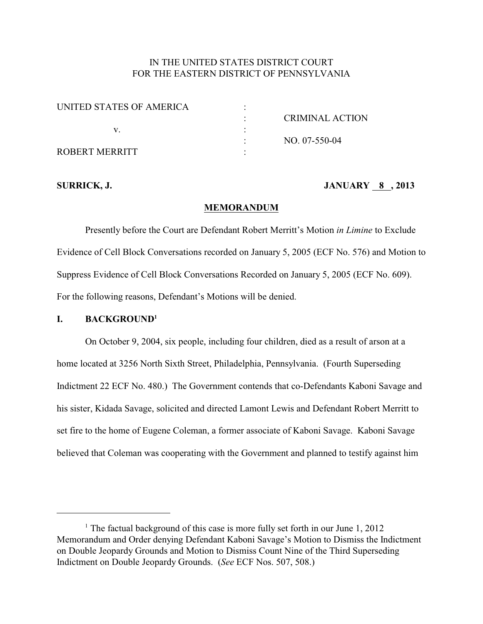# IN THE UNITED STATES DISTRICT COURT FOR THE EASTERN DISTRICT OF PENNSYLVANIA

| UNITED STATES OF AMERICA |                 |
|--------------------------|-----------------|
|                          | CRIMINAL ACTION |
|                          |                 |
|                          | $NO. 07-550-04$ |
| ROBERT MERRITT           |                 |

## **SURRICK, J. JANUARY 8 , 2013**

### **MEMORANDUM**

Presently before the Court are Defendant Robert Merritt's Motion *in Limine* to Exclude Evidence of Cell Block Conversations recorded on January 5, 2005 (ECF No. 576) and Motion to Suppress Evidence of Cell Block Conversations Recorded on January 5, 2005 (ECF No. 609). For the following reasons, Defendant's Motions will be denied.

## **I. BACKGROUND<sup>1</sup>**

On October 9, 2004, six people, including four children, died as a result of arson at a home located at 3256 North Sixth Street, Philadelphia, Pennsylvania. (Fourth Superseding Indictment 22 ECF No. 480.) The Government contends that co-Defendants Kaboni Savage and his sister, Kidada Savage, solicited and directed Lamont Lewis and Defendant Robert Merritt to set fire to the home of Eugene Coleman, a former associate of Kaboni Savage. Kaboni Savage believed that Coleman was cooperating with the Government and planned to testify against him

<sup>&</sup>lt;sup>1</sup> The factual background of this case is more fully set forth in our June  $1, 2012$ Memorandum and Order denying Defendant Kaboni Savage's Motion to Dismiss the Indictment on Double Jeopardy Grounds and Motion to Dismiss Count Nine of the Third Superseding Indictment on Double Jeopardy Grounds. (*See* ECF Nos. 507, 508.)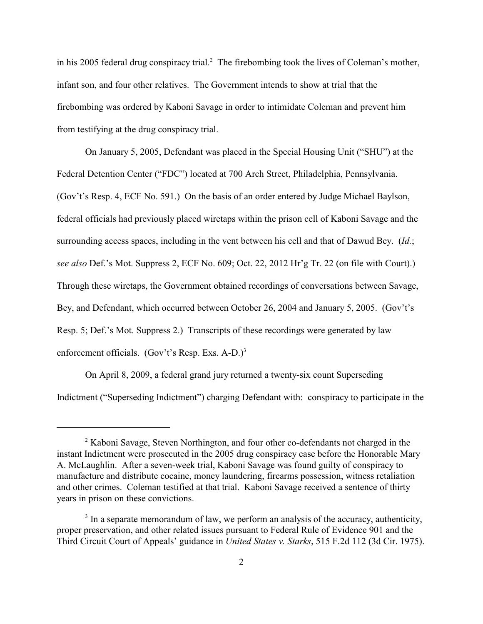in his 2005 federal drug conspiracy trial.<sup>2</sup> The firebombing took the lives of Coleman's mother, infant son, and four other relatives. The Government intends to show at trial that the firebombing was ordered by Kaboni Savage in order to intimidate Coleman and prevent him from testifying at the drug conspiracy trial.

On January 5, 2005, Defendant was placed in the Special Housing Unit ("SHU") at the Federal Detention Center ("FDC") located at 700 Arch Street, Philadelphia, Pennsylvania. (Gov't's Resp. 4, ECF No. 591.) On the basis of an order entered by Judge Michael Baylson, federal officials had previously placed wiretaps within the prison cell of Kaboni Savage and the surrounding access spaces, including in the vent between his cell and that of Dawud Bey. (*Id.*; *see also* Def.'s Mot. Suppress 2, ECF No. 609; Oct. 22, 2012 Hr'g Tr. 22 (on file with Court).) Through these wiretaps, the Government obtained recordings of conversations between Savage, Bey, and Defendant, which occurred between October 26, 2004 and January 5, 2005. (Gov't's Resp. 5; Def.'s Mot. Suppress 2.) Transcripts of these recordings were generated by law enforcement officials. (Gov't's Resp. Exs.  $A-D.$ )<sup>3</sup>

On April 8, 2009, a federal grand jury returned a twenty-six count Superseding Indictment ("Superseding Indictment") charging Defendant with: conspiracy to participate in the

<sup>&</sup>lt;sup>2</sup> Kaboni Savage, Steven Northington, and four other co-defendants not charged in the instant Indictment were prosecuted in the 2005 drug conspiracy case before the Honorable Mary A. McLaughlin. After a seven-week trial, Kaboni Savage was found guilty of conspiracy to manufacture and distribute cocaine, money laundering, firearms possession, witness retaliation and other crimes. Coleman testified at that trial. Kaboni Savage received a sentence of thirty years in prison on these convictions.

 $3$  In a separate memorandum of law, we perform an analysis of the accuracy, authenticity, proper preservation, and other related issues pursuant to Federal Rule of Evidence 901 and the Third Circuit Court of Appeals' guidance in *United States v. Starks*, 515 F.2d 112 (3d Cir. 1975).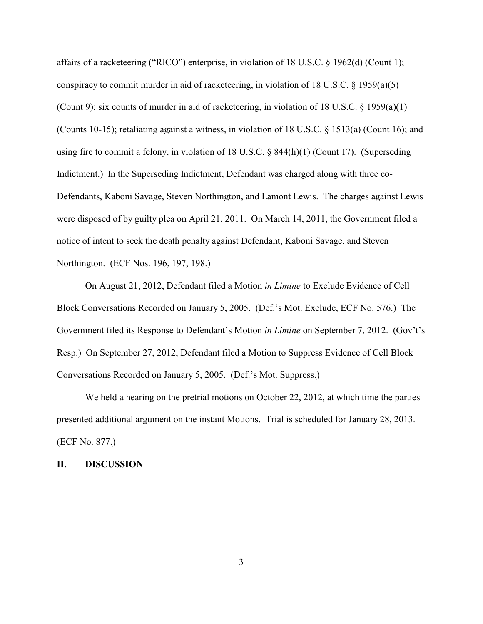affairs of a racketeering ("RICO") enterprise, in violation of 18 U.S.C. § 1962(d) (Count 1); conspiracy to commit murder in aid of racketeering, in violation of 18 U.S.C.  $\S$  1959(a)(5) (Count 9); six counts of murder in aid of racketeering, in violation of 18 U.S.C.  $\S$  1959(a)(1) (Counts 10-15); retaliating against a witness, in violation of 18 U.S.C. § 1513(a) (Count 16); and using fire to commit a felony, in violation of 18 U.S.C. § 844(h)(1) (Count 17). (Superseding Indictment.) In the Superseding Indictment, Defendant was charged along with three co-Defendants, Kaboni Savage, Steven Northington, and Lamont Lewis. The charges against Lewis were disposed of by guilty plea on April 21, 2011. On March 14, 2011, the Government filed a notice of intent to seek the death penalty against Defendant, Kaboni Savage, and Steven Northington. (ECF Nos. 196, 197, 198.)

On August 21, 2012, Defendant filed a Motion *in Limine* to Exclude Evidence of Cell Block Conversations Recorded on January 5, 2005. (Def.'s Mot. Exclude, ECF No. 576.) The Government filed its Response to Defendant's Motion *in Limine* on September 7, 2012. (Gov't's Resp.) On September 27, 2012, Defendant filed a Motion to Suppress Evidence of Cell Block Conversations Recorded on January 5, 2005. (Def.'s Mot. Suppress.)

We held a hearing on the pretrial motions on October 22, 2012, at which time the parties presented additional argument on the instant Motions. Trial is scheduled for January 28, 2013. (ECF No. 877.)

## **II. DISCUSSION**

3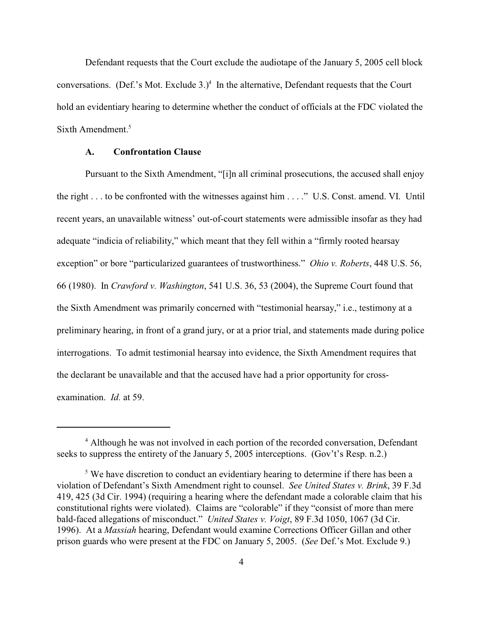Defendant requests that the Court exclude the audiotape of the January 5, 2005 cell block conversations. (Def.'s Mot. Exclude  $3.$ )<sup>4</sup> In the alternative, Defendant requests that the Court hold an evidentiary hearing to determine whether the conduct of officials at the FDC violated the Sixth Amendment.<sup>5</sup>

#### **A. Confrontation Clause**

Pursuant to the Sixth Amendment, "[i]n all criminal prosecutions, the accused shall enjoy the right . . . to be confronted with the witnesses against him . . . ." U.S. Const. amend. VI. Until recent years, an unavailable witness' out-of-court statements were admissible insofar as they had adequate "indicia of reliability," which meant that they fell within a "firmly rooted hearsay exception" or bore "particularized guarantees of trustworthiness." *Ohio v. Roberts*, 448 U.S. 56, 66 (1980). In *Crawford v. Washington*, 541 U.S. 36, 53 (2004), the Supreme Court found that the Sixth Amendment was primarily concerned with "testimonial hearsay," i.e., testimony at a preliminary hearing, in front of a grand jury, or at a prior trial, and statements made during police interrogations. To admit testimonial hearsay into evidence, the Sixth Amendment requires that the declarant be unavailable and that the accused have had a prior opportunity for crossexamination. *Id.* at 59.

<sup>&</sup>lt;sup>4</sup> Although he was not involved in each portion of the recorded conversation, Defendant seeks to suppress the entirety of the January 5, 2005 interceptions. (Gov't's Resp. n.2.)

 $\delta$  We have discretion to conduct an evidentiary hearing to determine if there has been a violation of Defendant's Sixth Amendment right to counsel. *See United States v. Brink*, 39 F.3d 419, 425 (3d Cir. 1994) (requiring a hearing where the defendant made a colorable claim that his constitutional rights were violated). Claims are "colorable" if they "consist of more than mere bald-faced allegations of misconduct." *United States v. Voigt*, 89 F.3d 1050, 1067 (3d Cir. 1996). At a *Massiah* hearing, Defendant would examine Corrections Officer Gillan and other prison guards who were present at the FDC on January 5, 2005. (*See* Def.'s Mot. Exclude 9.)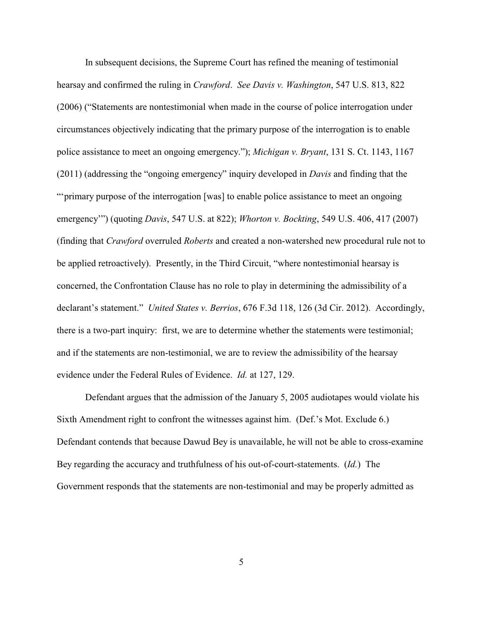In subsequent decisions, the Supreme Court has refined the meaning of testimonial hearsay and confirmed the ruling in *Crawford*. *See Davis v. Washington*, 547 U.S. 813, 822 (2006) ("Statements are nontestimonial when made in the course of police interrogation under circumstances objectively indicating that the primary purpose of the interrogation is to enable police assistance to meet an ongoing emergency."); *Michigan v. Bryant*, 131 S. Ct. 1143, 1167 (2011) (addressing the "ongoing emergency" inquiry developed in *Davis* and finding that the "'primary purpose of the interrogation [was] to enable police assistance to meet an ongoing emergency'") (quoting *Davis*, 547 U.S. at 822); *Whorton v. Bockting*, 549 U.S. 406, 417 (2007) (finding that *Crawford* overruled *Roberts* and created a non-watershed new procedural rule not to be applied retroactively). Presently, in the Third Circuit, "where nontestimonial hearsay is concerned, the Confrontation Clause has no role to play in determining the admissibility of a declarant's statement." *United States v. Berrios*, 676 F.3d 118, 126 (3d Cir. 2012). Accordingly, there is a two-part inquiry: first, we are to determine whether the statements were testimonial; and if the statements are non-testimonial, we are to review the admissibility of the hearsay evidence under the Federal Rules of Evidence. *Id.* at 127, 129.

Defendant argues that the admission of the January 5, 2005 audiotapes would violate his Sixth Amendment right to confront the witnesses against him. (Def.'s Mot. Exclude 6.) Defendant contends that because Dawud Bey is unavailable, he will not be able to cross-examine Bey regarding the accuracy and truthfulness of his out-of-court-statements. (*Id.*) The Government responds that the statements are non-testimonial and may be properly admitted as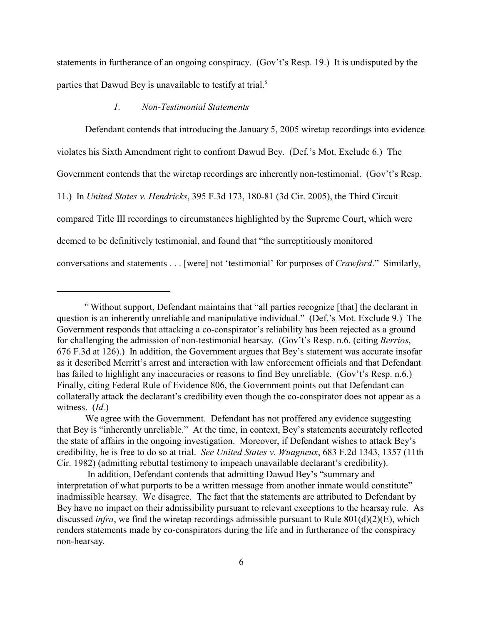statements in furtherance of an ongoing conspiracy. (Gov't's Resp. 19.) It is undisputed by the parties that Dawud Bey is unavailable to testify at trial.<sup>6</sup>

#### *1. Non-Testimonial Statements*

Defendant contends that introducing the January 5, 2005 wiretap recordings into evidence violates his Sixth Amendment right to confront Dawud Bey. (Def.'s Mot. Exclude 6.) The Government contends that the wiretap recordings are inherently non-testimonial. (Gov't's Resp. 11.) In *United States v. Hendricks*, 395 F.3d 173, 180-81 (3d Cir. 2005), the Third Circuit compared Title III recordings to circumstances highlighted by the Supreme Court, which were deemed to be definitively testimonial, and found that "the surreptitiously monitored conversations and statements . . . [were] not 'testimonial' for purposes of *Crawford*." Similarly,

 $6$  Without support, Defendant maintains that "all parties recognize [that] the declarant in question is an inherently unreliable and manipulative individual." (Def.'s Mot. Exclude 9.) The Government responds that attacking a co-conspirator's reliability has been rejected as a ground for challenging the admission of non-testimonial hearsay. (Gov't's Resp. n.6. (citing *Berrios*, 676 F.3d at 126).) In addition, the Government argues that Bey's statement was accurate insofar as it described Merritt's arrest and interaction with law enforcement officials and that Defendant has failed to highlight any inaccuracies or reasons to find Bey unreliable. (Gov't's Resp. n.6.) Finally, citing Federal Rule of Evidence 806, the Government points out that Defendant can collaterally attack the declarant's credibility even though the co-conspirator does not appear as a witness. (*Id.*)

We agree with the Government. Defendant has not proffered any evidence suggesting that Bey is "inherently unreliable." At the time, in context, Bey's statements accurately reflected the state of affairs in the ongoing investigation. Moreover, if Defendant wishes to attack Bey's credibility, he is free to do so at trial. *See United States v. Wuagneux*, 683 F.2d 1343, 1357 (11th Cir. 1982) (admitting rebuttal testimony to impeach unavailable declarant's credibility).

In addition, Defendant contends that admitting Dawud Bey's "summary and interpretation of what purports to be a written message from another inmate would constitute" inadmissible hearsay. We disagree. The fact that the statements are attributed to Defendant by Bey have no impact on their admissibility pursuant to relevant exceptions to the hearsay rule. As discussed *infra*, we find the wiretap recordings admissible pursuant to Rule 801(d)(2)(E), which renders statements made by co-conspirators during the life and in furtherance of the conspiracy non-hearsay.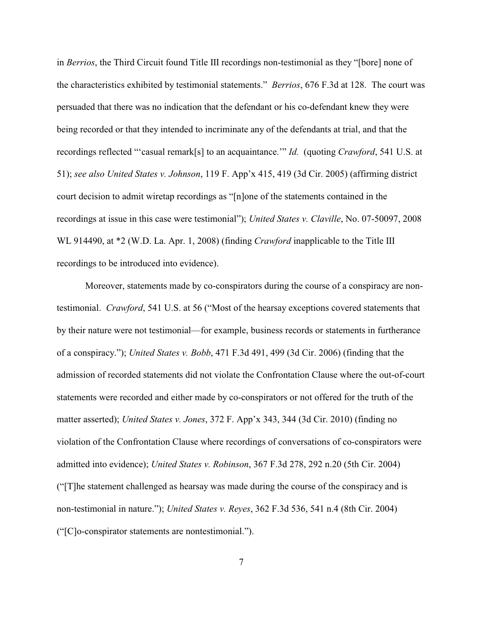in *Berrios*, the Third Circuit found Title III recordings non-testimonial as they "[bore] none of the characteristics exhibited by testimonial statements." *Berrios*, 676 F.3d at 128. The court was persuaded that there was no indication that the defendant or his co-defendant knew they were being recorded or that they intended to incriminate any of the defendants at trial, and that the recordings reflected "'casual remark[s] to an acquaintance.'" *Id.* (quoting *Crawford*, 541 U.S. at 51); *see also United States v. Johnson*, 119 F. App'x 415, 419 (3d Cir. 2005) (affirming district court decision to admit wiretap recordings as "[n]one of the statements contained in the recordings at issue in this case were testimonial"); *United States v. Claville*, No. 07-50097, 2008 WL 914490, at \*2 (W.D. La. Apr. 1, 2008) (finding *Crawford* inapplicable to the Title III recordings to be introduced into evidence).

Moreover, statements made by co-conspirators during the course of a conspiracy are nontestimonial. *Crawford*, 541 U.S. at 56 ("Most of the hearsay exceptions covered statements that by their nature were not testimonial—for example, business records or statements in furtherance of a conspiracy."); *United States v. Bobb*, 471 F.3d 491, 499 (3d Cir. 2006) (finding that the admission of recorded statements did not violate the Confrontation Clause where the out-of-court statements were recorded and either made by co-conspirators or not offered for the truth of the matter asserted); *United States v. Jones*, 372 F. App'x 343, 344 (3d Cir. 2010) (finding no violation of the Confrontation Clause where recordings of conversations of co-conspirators were admitted into evidence); *United States v. Robinson*, 367 F.3d 278, 292 n.20 (5th Cir. 2004) ("[T]he statement challenged as hearsay was made during the course of the conspiracy and is non-testimonial in nature."); *United States v. Reyes*, 362 F.3d 536, 541 n.4 (8th Cir. 2004) ("[C]o-conspirator statements are nontestimonial.").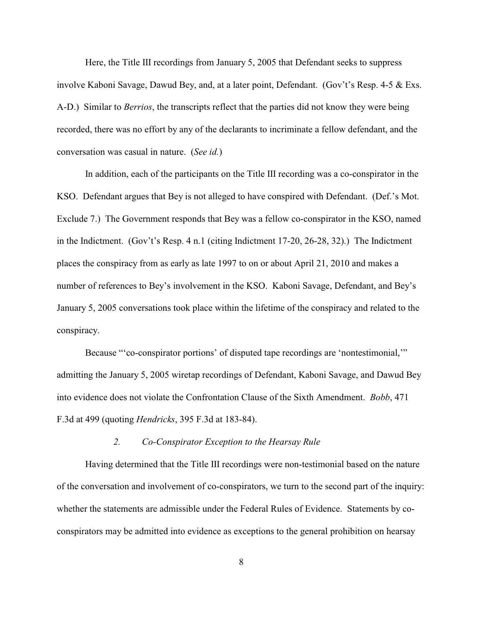Here, the Title III recordings from January 5, 2005 that Defendant seeks to suppress involve Kaboni Savage, Dawud Bey, and, at a later point, Defendant. (Gov't's Resp. 4-5 & Exs. A-D.) Similar to *Berrios*, the transcripts reflect that the parties did not know they were being recorded, there was no effort by any of the declarants to incriminate a fellow defendant, and the conversation was casual in nature. (*See id.*)

In addition, each of the participants on the Title III recording was a co-conspirator in the KSO. Defendant argues that Bey is not alleged to have conspired with Defendant. (Def.'s Mot. Exclude 7.) The Government responds that Bey was a fellow co-conspirator in the KSO, named in the Indictment. (Gov't's Resp. 4 n.1 (citing Indictment 17-20, 26-28, 32).) The Indictment places the conspiracy from as early as late 1997 to on or about April 21, 2010 and makes a number of references to Bey's involvement in the KSO. Kaboni Savage, Defendant, and Bey's January 5, 2005 conversations took place within the lifetime of the conspiracy and related to the conspiracy.

Because "'co-conspirator portions' of disputed tape recordings are 'nontestimonial,'" admitting the January 5, 2005 wiretap recordings of Defendant, Kaboni Savage, and Dawud Bey into evidence does not violate the Confrontation Clause of the Sixth Amendment. *Bobb*, 471 F.3d at 499 (quoting *Hendricks*, 395 F.3d at 183-84).

#### *2. Co-Conspirator Exception to the Hearsay Rule*

Having determined that the Title III recordings were non-testimonial based on the nature of the conversation and involvement of co-conspirators, we turn to the second part of the inquiry: whether the statements are admissible under the Federal Rules of Evidence. Statements by coconspirators may be admitted into evidence as exceptions to the general prohibition on hearsay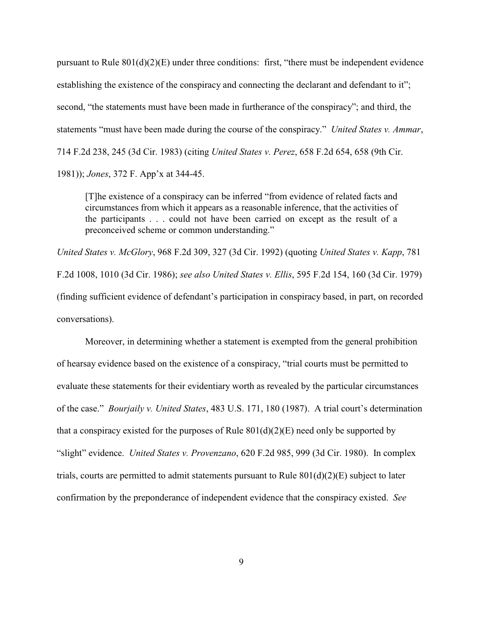pursuant to Rule  $801(d)(2)(E)$  under three conditions: first, "there must be independent evidence establishing the existence of the conspiracy and connecting the declarant and defendant to it"; second, "the statements must have been made in furtherance of the conspiracy"; and third, the statements "must have been made during the course of the conspiracy." *United States v. Ammar*, 714 F.2d 238, 245 (3d Cir. 1983) (citing *United States v. Perez*, 658 F.2d 654, 658 (9th Cir. 1981)); *Jones*, 372 F. App'x at 344-45.

[T]he existence of a conspiracy can be inferred "from evidence of related facts and circumstances from which it appears as a reasonable inference, that the activities of the participants . . . could not have been carried on except as the result of a preconceived scheme or common understanding."

*United States v. McGlory*, 968 F.2d 309, 327 (3d Cir. 1992) (quoting *United States v. Kapp*, 781 F.2d 1008, 1010 (3d Cir. 1986); *see also United States v. Ellis*, 595 F.2d 154, 160 (3d Cir. 1979) (finding sufficient evidence of defendant's participation in conspiracy based, in part, on recorded conversations).

Moreover, in determining whether a statement is exempted from the general prohibition of hearsay evidence based on the existence of a conspiracy, "trial courts must be permitted to evaluate these statements for their evidentiary worth as revealed by the particular circumstances of the case." *Bourjaily v. United States*, 483 U.S. 171, 180 (1987). A trial court's determination that a conspiracy existed for the purposes of Rule  $801(d)(2)(E)$  need only be supported by "slight" evidence. *United States v. Provenzano*, 620 F.2d 985, 999 (3d Cir. 1980). In complex trials, courts are permitted to admit statements pursuant to Rule  $801(d)(2)(E)$  subject to later confirmation by the preponderance of independent evidence that the conspiracy existed. *See*

9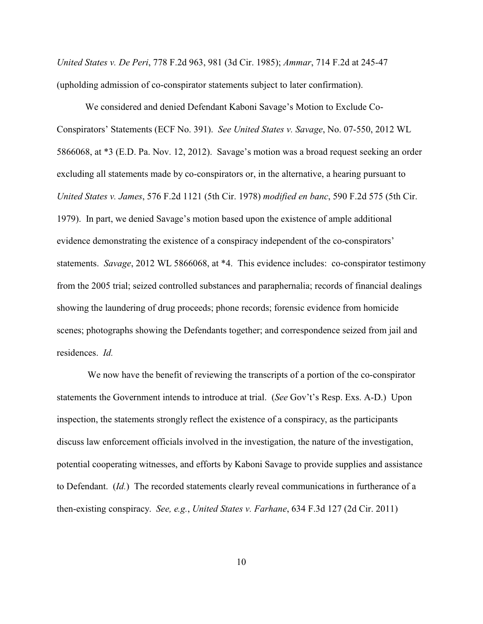*United States v. De Peri*, 778 F.2d 963, 981 (3d Cir. 1985); *Ammar*, 714 F.2d at 245-47 (upholding admission of co-conspirator statements subject to later confirmation).

We considered and denied Defendant Kaboni Savage's Motion to Exclude Co-Conspirators' Statements (ECF No. 391). *See United States v. Savage*, No. 07-550, 2012 WL 5866068, at \*3 (E.D. Pa. Nov. 12, 2012). Savage's motion was a broad request seeking an order excluding all statements made by co-conspirators or, in the alternative, a hearing pursuant to *United States v. James*, 576 F.2d 1121 (5th Cir. 1978) *modified en banc*, 590 F.2d 575 (5th Cir. 1979). In part, we denied Savage's motion based upon the existence of ample additional evidence demonstrating the existence of a conspiracy independent of the co-conspirators' statements. *Savage*, 2012 WL 5866068, at \*4. This evidence includes: co-conspirator testimony from the 2005 trial; seized controlled substances and paraphernalia; records of financial dealings showing the laundering of drug proceeds; phone records; forensic evidence from homicide scenes; photographs showing the Defendants together; and correspondence seized from jail and residences. *Id.*

 We now have the benefit of reviewing the transcripts of a portion of the co-conspirator statements the Government intends to introduce at trial. (*See* Gov't's Resp. Exs. A-D.) Upon inspection, the statements strongly reflect the existence of a conspiracy, as the participants discuss law enforcement officials involved in the investigation, the nature of the investigation, potential cooperating witnesses, and efforts by Kaboni Savage to provide supplies and assistance to Defendant. (*Id.*) The recorded statements clearly reveal communications in furtherance of a then-existing conspiracy. *See, e.g.*, *United States v. Farhane*, 634 F.3d 127 (2d Cir. 2011)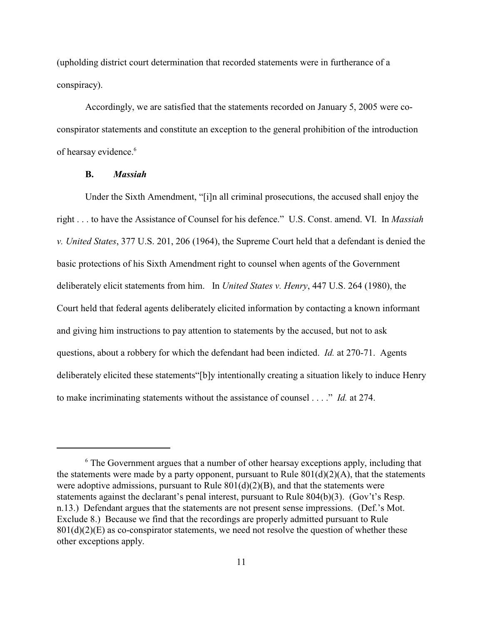(upholding district court determination that recorded statements were in furtherance of a conspiracy).

Accordingly, we are satisfied that the statements recorded on January 5, 2005 were coconspirator statements and constitute an exception to the general prohibition of the introduction of hearsay evidence.<sup>6</sup>

## **B.** *Massiah*

Under the Sixth Amendment, "[i]n all criminal prosecutions, the accused shall enjoy the right . . . to have the Assistance of Counsel for his defence." U.S. Const. amend. VI. In *Massiah v. United States*, 377 U.S. 201, 206 (1964), the Supreme Court held that a defendant is denied the basic protections of his Sixth Amendment right to counsel when agents of the Government deliberately elicit statements from him. In *United States v. Henry*, 447 U.S. 264 (1980), the Court held that federal agents deliberately elicited information by contacting a known informant and giving him instructions to pay attention to statements by the accused, but not to ask questions, about a robbery for which the defendant had been indicted. *Id.* at 270-71. Agents deliberately elicited these statements"[b]y intentionally creating a situation likely to induce Henry to make incriminating statements without the assistance of counsel . . . ." *Id.* at 274.

 $6$  The Government argues that a number of other hearsay exceptions apply, including that the statements were made by a party opponent, pursuant to Rule  $801(d)(2)(A)$ , that the statements were adoptive admissions, pursuant to Rule  $801(d)(2)(B)$ , and that the statements were statements against the declarant's penal interest, pursuant to Rule 804(b)(3). (Gov't's Resp. n.13.) Defendant argues that the statements are not present sense impressions. (Def.'s Mot. Exclude 8.) Because we find that the recordings are properly admitted pursuant to Rule  $801(d)(2)(E)$  as co-conspirator statements, we need not resolve the question of whether these other exceptions apply.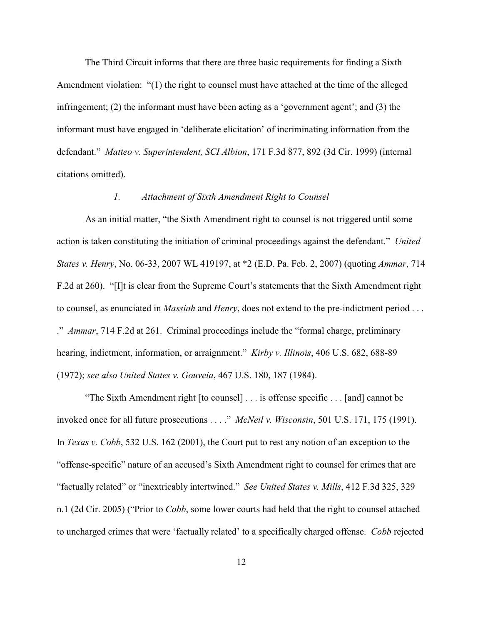The Third Circuit informs that there are three basic requirements for finding a Sixth Amendment violation: "(1) the right to counsel must have attached at the time of the alleged infringement; (2) the informant must have been acting as a 'government agent'; and (3) the informant must have engaged in 'deliberate elicitation' of incriminating information from the defendant."*Matteo v. Superintendent, SCI Albion*, 171 F.3d 877, 892 (3d Cir. 1999) (internal citations omitted).

### *1. Attachment of Sixth Amendment Right to Counsel*

As an initial matter, "the Sixth Amendment right to counsel is not triggered until some action is taken constituting the initiation of criminal proceedings against the defendant." *United States v. Henry*, No. 06-33, 2007 WL 419197, at \*2 (E.D. Pa. Feb. 2, 2007) (quoting *Ammar*, 714 F.2d at 260). "[I]t is clear from the Supreme Court's statements that the Sixth Amendment right to counsel, as enunciated in *Massiah* and *Henry*, does not extend to the pre-indictment period . . . ." *Ammar*, 714 F.2d at 261. Criminal proceedings include the "formal charge, preliminary hearing, indictment, information, or arraignment." *Kirby v. Illinois*, 406 U.S. 682, 688-89 (1972); *see also United States v. Gouveia*, 467 U.S. 180, 187 (1984).

"The Sixth Amendment right [to counsel] . . . is offense specific . . . [and] cannot be invoked once for all future prosecutions . . . ." *McNeil v. Wisconsin*, 501 U.S. 171, 175 (1991). In *Texas v. Cobb*, 532 U.S. 162 (2001), the Court put to rest any notion of an exception to the "offense-specific" nature of an accused's Sixth Amendment right to counsel for crimes that are "factually related" or "inextricably intertwined." *See United States v. Mills*, 412 F.3d 325, 329 n.1 (2d Cir. 2005) ("Prior to *Cobb*, some lower courts had held that the right to counsel attached to uncharged crimes that were 'factually related' to a specifically charged offense. *Cobb* rejected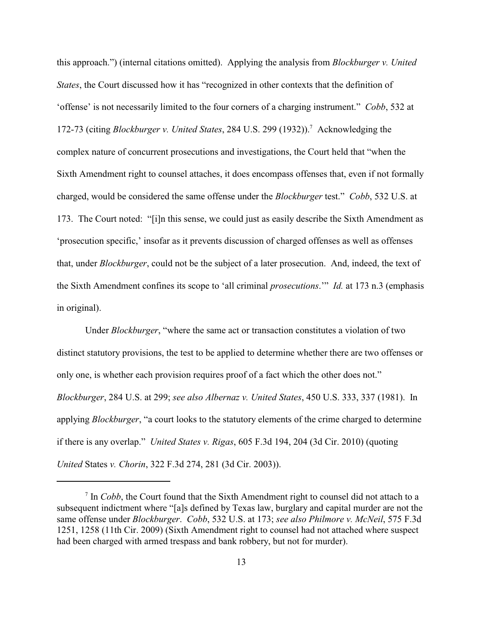this approach.") (internal citations omitted). Applying the analysis from *Blockburger v. United States*, the Court discussed how it has "recognized in other contexts that the definition of 'offense' is not necessarily limited to the four corners of a charging instrument." *Cobb*, 532 at 172-73 (citing *Blockburger v. United States*, 284 U.S. 299 (1932)). Acknowledging the <sup>7</sup> complex nature of concurrent prosecutions and investigations, the Court held that "when the Sixth Amendment right to counsel attaches, it does encompass offenses that, even if not formally charged, would be considered the same offense under the *Blockburger* test." *Cobb*, 532 U.S. at 173. The Court noted: "[i]n this sense, we could just as easily describe the Sixth Amendment as 'prosecution specific,' insofar as it prevents discussion of charged offenses as well as offenses that, under *Blockburger*, could not be the subject of a later prosecution. And, indeed, the text of the Sixth Amendment confines its scope to 'all criminal *prosecutions*.'" *Id.* at 173 n.3 (emphasis in original).

Under *Blockburger*, "where the same act or transaction constitutes a violation of two distinct statutory provisions, the test to be applied to determine whether there are two offenses or only one, is whether each provision requires proof of a fact which the other does not." *Blockburger*, 284 U.S. at 299; *see also Albernaz v. United States*, 450 U.S. 333, 337 (1981). In applying *Blockburger*, "a court looks to the statutory elements of the crime charged to determine if there is any overlap." *United States v. Rigas*, 605 F.3d 194, 204 (3d Cir. 2010) (quoting *United* States *v. Chorin*, 322 F.3d 274, 281 (3d Cir. 2003)).

 $\frac{1}{1}$  In *Cobb*, the Court found that the Sixth Amendment right to counsel did not attach to a subsequent indictment where "[a]s defined by Texas law, burglary and capital murder are not the same offense under *Blockburger*. *Cobb*, 532 U.S. at 173; *see also Philmore v. McNeil*, 575 F.3d 1251, 1258 (11th Cir. 2009) (Sixth Amendment right to counsel had not attached where suspect had been charged with armed trespass and bank robbery, but not for murder).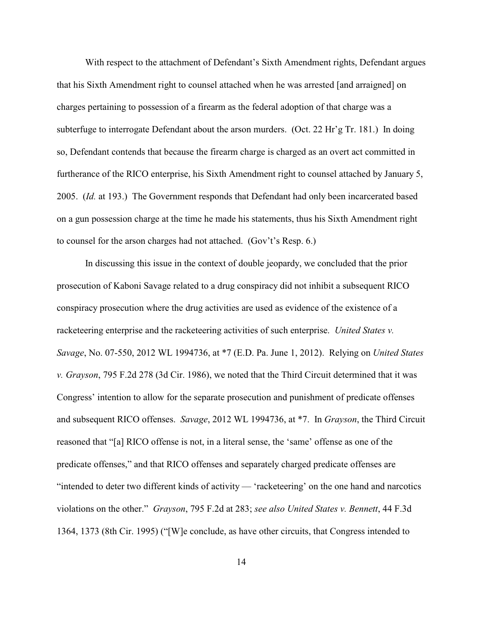With respect to the attachment of Defendant's Sixth Amendment rights, Defendant argues that his Sixth Amendment right to counsel attached when he was arrested [and arraigned] on charges pertaining to possession of a firearm as the federal adoption of that charge was a subterfuge to interrogate Defendant about the arson murders. (Oct. 22 Hr'g Tr. 181.) In doing so, Defendant contends that because the firearm charge is charged as an overt act committed in furtherance of the RICO enterprise, his Sixth Amendment right to counsel attached by January 5, 2005. (*Id.* at 193.) The Government responds that Defendant had only been incarcerated based on a gun possession charge at the time he made his statements, thus his Sixth Amendment right to counsel for the arson charges had not attached. (Gov't's Resp. 6.)

In discussing this issue in the context of double jeopardy, we concluded that the prior prosecution of Kaboni Savage related to a drug conspiracy did not inhibit a subsequent RICO conspiracy prosecution where the drug activities are used as evidence of the existence of a racketeering enterprise and the racketeering activities of such enterprise. *United States v. Savage*, No. 07-550, 2012 WL 1994736, at \*7 (E.D. Pa. June 1, 2012). Relying on *United States v. Grayson*, 795 F.2d 278 (3d Cir. 1986), we noted that the Third Circuit determined that it was Congress' intention to allow for the separate prosecution and punishment of predicate offenses and subsequent RICO offenses. *Savage*, 2012 WL 1994736, at \*7. In *Grayson*, the Third Circuit reasoned that "[a] RICO offense is not, in a literal sense, the 'same' offense as one of the predicate offenses," and that RICO offenses and separately charged predicate offenses are "intended to deter two different kinds of activity — 'racketeering' on the one hand and narcotics violations on the other." *Grayson*, 795 F.2d at 283; *see also United States v. Bennett*, 44 F.3d 1364, 1373 (8th Cir. 1995) ("[W]e conclude, as have other circuits, that Congress intended to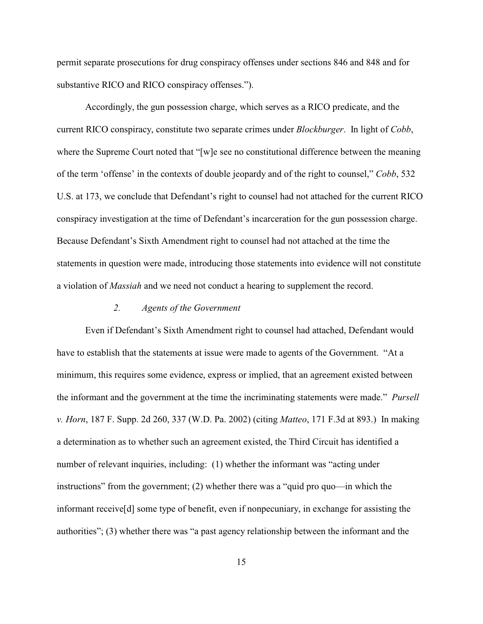permit separate prosecutions for drug conspiracy offenses under sections 846 and 848 and for substantive RICO and RICO conspiracy offenses.").

Accordingly, the gun possession charge, which serves as a RICO predicate, and the current RICO conspiracy, constitute two separate crimes under *Blockburger*. In light of *Cobb*, where the Supreme Court noted that "[w]e see no constitutional difference between the meaning of the term 'offense' in the contexts of double jeopardy and of the right to counsel," *Cobb*, 532 U.S. at 173, we conclude that Defendant's right to counsel had not attached for the current RICO conspiracy investigation at the time of Defendant's incarceration for the gun possession charge. Because Defendant's Sixth Amendment right to counsel had not attached at the time the statements in question were made, introducing those statements into evidence will not constitute a violation of *Massiah* and we need not conduct a hearing to supplement the record.

## *2. Agents of the Government*

Even if Defendant's Sixth Amendment right to counsel had attached, Defendant would have to establish that the statements at issue were made to agents of the Government. "At a minimum, this requires some evidence, express or implied, that an agreement existed between the informant and the government at the time the incriminating statements were made." *Pursell v. Horn*, 187 F. Supp. 2d 260, 337 (W.D. Pa. 2002) (citing *Matteo*, 171 F.3d at 893.) In making a determination as to whether such an agreement existed, the Third Circuit has identified a number of relevant inquiries, including: (1) whether the informant was "acting under instructions" from the government; (2) whether there was a "quid pro quo—in which the informant receive[d] some type of benefit, even if nonpecuniary, in exchange for assisting the authorities"; (3) whether there was "a past agency relationship between the informant and the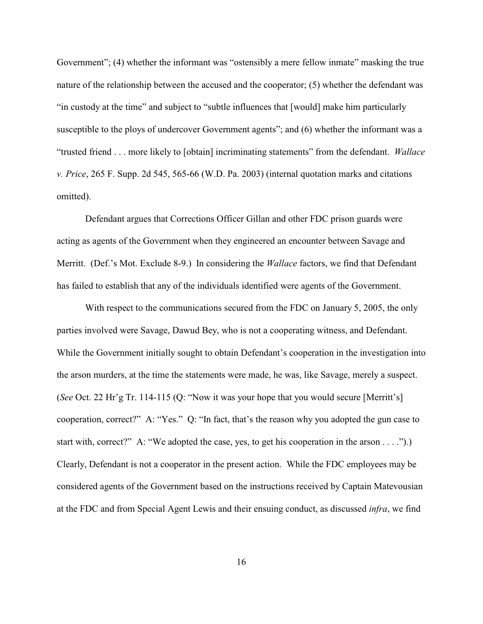Government"; (4) whether the informant was "ostensibly a mere fellow inmate" masking the true nature of the relationship between the accused and the cooperator; (5) whether the defendant was "in custody at the time" and subject to "subtle influences that [would] make him particularly susceptible to the ploys of undercover Government agents"; and (6) whether the informant was a "trusted friend . . . more likely to [obtain] incriminating statements" from the defendant. *Wallace v. Price*, 265 F. Supp. 2d 545, 565-66 (W.D. Pa. 2003) (internal quotation marks and citations omitted).

Defendant argues that Corrections Officer Gillan and other FDC prison guards were acting as agents of the Government when they engineered an encounter between Savage and Merritt. (Def.'s Mot. Exclude 8-9.) In considering the *Wallace* factors, we find that Defendant has failed to establish that any of the individuals identified were agents of the Government.

With respect to the communications secured from the FDC on January 5, 2005, the only parties involved were Savage, Dawud Bey, who is not a cooperating witness, and Defendant. While the Government initially sought to obtain Defendant's cooperation in the investigation into the arson murders, at the time the statements were made, he was, like Savage, merely a suspect. (*See* Oct. 22 Hr'g Tr. 114-115 (Q: "Now it was your hope that you would secure [Merritt's] cooperation, correct?" A: "Yes." Q: "In fact, that's the reason why you adopted the gun case to start with, correct?" A: "We adopted the case, yes, to get his cooperation in the arson . . . .").) Clearly, Defendant is not a cooperator in the present action. While the FDC employees may be considered agents of the Government based on the instructions received by Captain Matevousian at the FDC and from Special Agent Lewis and their ensuing conduct, as discussed *infra*, we find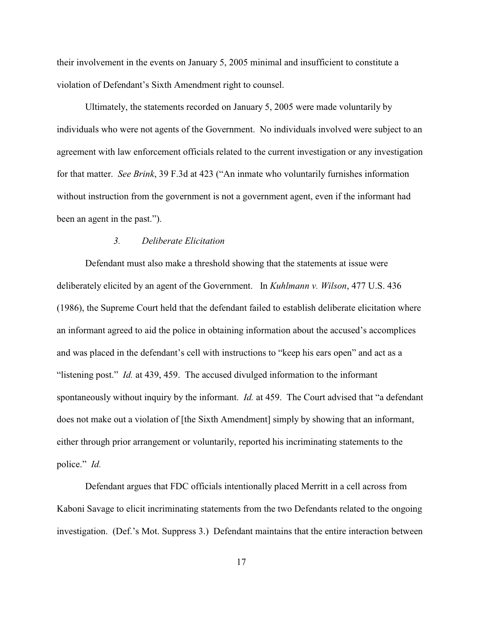their involvement in the events on January 5, 2005 minimal and insufficient to constitute a violation of Defendant's Sixth Amendment right to counsel.

Ultimately, the statements recorded on January 5, 2005 were made voluntarily by individuals who were not agents of the Government. No individuals involved were subject to an agreement with law enforcement officials related to the current investigation or any investigation for that matter. *See Brink*, 39 F.3d at 423 ("An inmate who voluntarily furnishes information without instruction from the government is not a government agent, even if the informant had been an agent in the past.").

## *3. Deliberate Elicitation*

Defendant must also make a threshold showing that the statements at issue were deliberately elicited by an agent of the Government. In *Kuhlmann v. Wilson*, 477 U.S. 436 (1986), the Supreme Court held that the defendant failed to establish deliberate elicitation where an informant agreed to aid the police in obtaining information about the accused's accomplices and was placed in the defendant's cell with instructions to "keep his ears open" and act as a "listening post." *Id.* at 439, 459. The accused divulged information to the informant spontaneously without inquiry by the informant. *Id.* at 459. The Court advised that "a defendant does not make out a violation of [the Sixth Amendment] simply by showing that an informant, either through prior arrangement or voluntarily, reported his incriminating statements to the police." *Id.*

Defendant argues that FDC officials intentionally placed Merritt in a cell across from Kaboni Savage to elicit incriminating statements from the two Defendants related to the ongoing investigation. (Def.'s Mot. Suppress 3.) Defendant maintains that the entire interaction between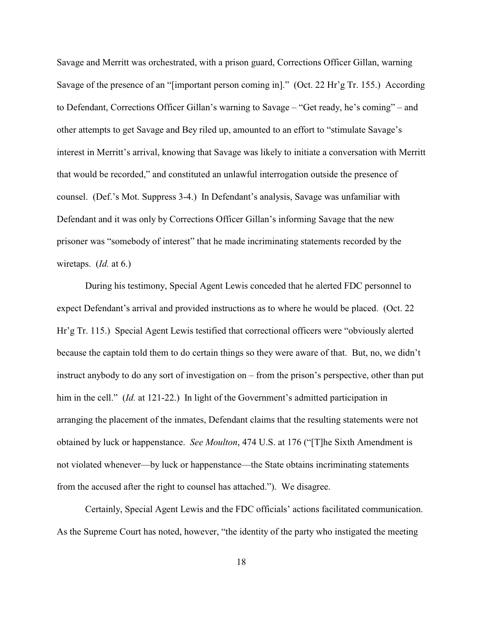Savage and Merritt was orchestrated, with a prison guard, Corrections Officer Gillan, warning Savage of the presence of an "[important person coming in]." (Oct. 22 Hr'g Tr. 155.)According to Defendant, Corrections Officer Gillan's warning to Savage – "Get ready, he's coming" – and other attempts to get Savage and Bey riled up, amounted to an effort to "stimulate Savage's interest in Merritt's arrival, knowing that Savage was likely to initiate a conversation with Merritt that would be recorded," and constituted an unlawful interrogation outside the presence of counsel. (Def.'s Mot. Suppress 3-4.) In Defendant's analysis, Savage was unfamiliar with Defendant and it was only by Corrections Officer Gillan's informing Savage that the new prisoner was "somebody of interest" that he made incriminating statements recorded by the wiretaps. (*Id.* at 6.)

During his testimony, Special Agent Lewis conceded that he alerted FDC personnel to expect Defendant's arrival and provided instructions as to where he would be placed. (Oct. 22 Hr'g Tr. 115.) Special Agent Lewis testified that correctional officers were "obviously alerted because the captain told them to do certain things so they were aware of that. But, no, we didn't instruct anybody to do any sort of investigation on – from the prison's perspective, other than put him in the cell." (*Id.* at 121-22.) In light of the Government's admitted participation in arranging the placement of the inmates, Defendant claims that the resulting statements were not obtained by luck or happenstance. *See Moulton*, 474 U.S. at 176 ("[T]he Sixth Amendment is not violated whenever—by luck or happenstance—the State obtains incriminating statements from the accused after the right to counsel has attached."). We disagree.

Certainly, Special Agent Lewis and the FDC officials' actions facilitated communication. As the Supreme Court has noted, however, "the identity of the party who instigated the meeting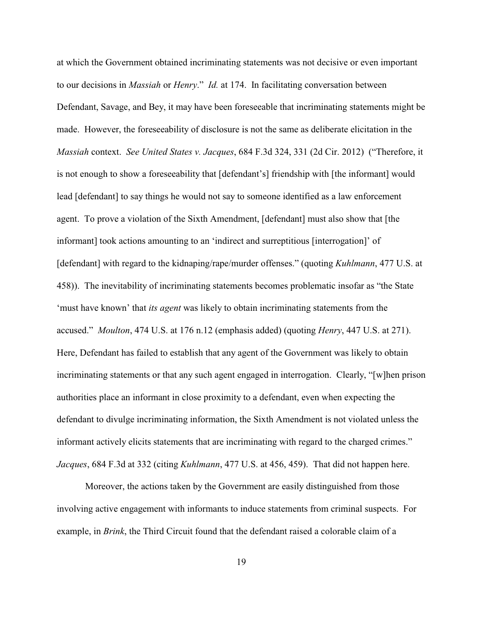at which the Government obtained incriminating statements was not decisive or even important to our decisions in *Massiah* or *Henry*." *Id.* at 174. In facilitating conversation between Defendant, Savage, and Bey, it may have been foreseeable that incriminating statements might be made. However, the foreseeability of disclosure is not the same as deliberate elicitation in the *Massiah* context. *See United States v. Jacques*, 684 F.3d 324, 331 (2d Cir. 2012) ("Therefore, it is not enough to show a foreseeability that [defendant's] friendship with [the informant] would lead [defendant] to say things he would not say to someone identified as a law enforcement agent. To prove a violation of the Sixth Amendment, [defendant] must also show that [the informant] took actions amounting to an 'indirect and surreptitious [interrogation]' of [defendant] with regard to the kidnaping/rape/murder offenses." (quoting *Kuhlmann*, 477 U.S. at 458)). The inevitability of incriminating statements becomes problematic insofar as "the State 'must have known' that *its agent* was likely to obtain incriminating statements from the accused." *Moulton*, 474 U.S. at 176 n.12 (emphasis added) (quoting *Henry*, 447 U.S. at 271). Here, Defendant has failed to establish that any agent of the Government was likely to obtain incriminating statements or that any such agent engaged in interrogation. Clearly, "[w]hen prison authorities place an informant in close proximity to a defendant, even when expecting the defendant to divulge incriminating information, the Sixth Amendment is not violated unless the informant actively elicits statements that are incriminating with regard to the charged crimes." *Jacques*, 684 F.3d at 332 (citing *Kuhlmann*, 477 U.S. at 456, 459). That did not happen here.

Moreover, the actions taken by the Government are easily distinguished from those involving active engagement with informants to induce statements from criminal suspects. For example, in *Brink*, the Third Circuit found that the defendant raised a colorable claim of a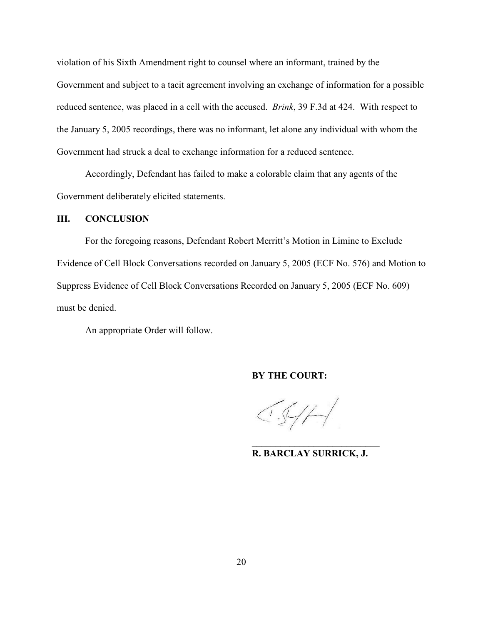violation of his Sixth Amendment right to counsel where an informant, trained by the Government and subject to a tacit agreement involving an exchange of information for a possible reduced sentence, was placed in a cell with the accused. *Brink*, 39 F.3d at 424. With respect to the January 5, 2005 recordings, there was no informant, let alone any individual with whom the Government had struck a deal to exchange information for a reduced sentence.

Accordingly, Defendant has failed to make a colorable claim that any agents of the Government deliberately elicited statements.

#### **III. CONCLUSION**

For the foregoing reasons, Defendant Robert Merritt's Motion in Limine to Exclude Evidence of Cell Block Conversations recorded on January 5, 2005 (ECF No. 576) and Motion to Suppress Evidence of Cell Block Conversations Recorded on January 5, 2005 (ECF No. 609) must be denied.

An appropriate Order will follow.

**BY THE COURT:**

 $\left.\sqrt{5}/\sqrt{1}\right.$ 

**R. BARCLAY SURRICK, J.**

**\_\_\_\_\_\_\_\_\_\_\_\_\_\_\_\_\_\_\_\_\_\_\_\_\_\_\_**